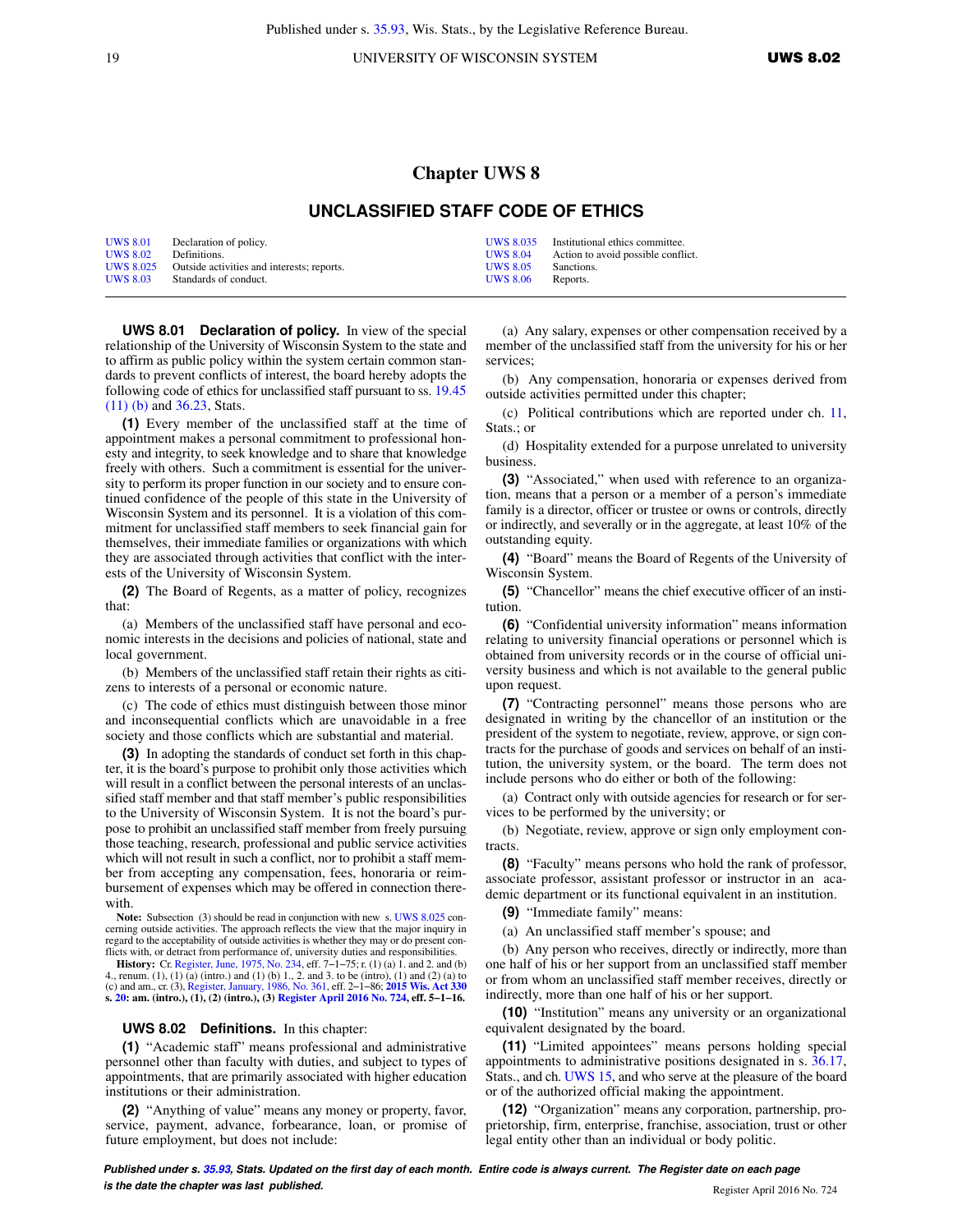19 UNIVERSITY OF WISCONSIN SYSTEM UWS 8.02

## **Chapter UWS 8**

## **UNCLASSIFIED STAFF CODE OF ETHICS**

| <b>UWS 8.01</b>  | Declaration of policy.                     |                 | UWS 8.035 Institutional ethics committee. |
|------------------|--------------------------------------------|-----------------|-------------------------------------------|
| <b>UWS 8.02</b>  | Definitions.                               | <b>UWS 8.04</b> | Action to avoid possible conflict.        |
| <b>UWS 8.025</b> | Outside activities and interests; reports. | <b>UWS 8.05</b> | Sanctions.                                |
| <b>UWS 8.03</b>  | Standards of conduct.                      | <b>UWS 8.06</b> | Reports.                                  |

**UWS 8.01 Declaration of policy.** In view of the special relationship of the University of Wisconsin System to the state and to affirm as public policy within the system certain common standards to prevent conflicts of interest, the board hereby adopts the following code of ethics for unclassified staff pursuant to ss. [19.45](https://docs.legis.wisconsin.gov/document/statutes/19.45(11)(b)) [\(11\) \(b\)](https://docs.legis.wisconsin.gov/document/statutes/19.45(11)(b)) and [36.23](https://docs.legis.wisconsin.gov/document/statutes/36.23), Stats.

**(1)** Every member of the unclassified staff at the time of appointment makes a personal commitment to professional honesty and integrity, to seek knowledge and to share that knowledge freely with others. Such a commitment is essential for the university to perform its proper function in our society and to ensure continued confidence of the people of this state in the University of Wisconsin System and its personnel. It is a violation of this commitment for unclassified staff members to seek financial gain for themselves, their immediate families or organizations with which they are associated through activities that conflict with the interests of the University of Wisconsin System.

**(2)** The Board of Regents, as a matter of policy, recognizes that:

(a) Members of the unclassified staff have personal and economic interests in the decisions and policies of national, state and local government.

(b) Members of the unclassified staff retain their rights as citizens to interests of a personal or economic nature.

(c) The code of ethics must distinguish between those minor and inconsequential conflicts which are unavoidable in a free society and those conflicts which are substantial and material.

**(3)** In adopting the standards of conduct set forth in this chapter, it is the board's purpose to prohibit only those activities which will result in a conflict between the personal interests of an unclassified staff member and that staff member's public responsibilities to the University of Wisconsin System. It is not the board's purpose to prohibit an unclassified staff member from freely pursuing those teaching, research, professional and public service activities which will not result in such a conflict, nor to prohibit a staff member from accepting any compensation, fees, honoraria or reimbursement of expenses which may be offered in connection therewith.

**Note:** Subsection (3) should be read in conjunction with new s. [UWS 8.025](https://docs.legis.wisconsin.gov/document/administrativecode/UWS%208.025) concerning outside activities. The approach reflects the view that the major inquiry in regard to the acceptability of outside activities is whether they may or do present conflicts with, or detract from performance of, university duties and responsibilities.

**History:** Cr. [Register, June, 1975, No. 234,](https://docs.legis.wisconsin.gov/document/register/234/B/toc) eff. 7−1−75; r. (1) (a) 1. and 2. and (b) 4., renum. (1), (1) (a) (intro.) and (1) (b) 1., 2. and 3. to be (intro), (1) and (2) (a) to (c) and am., cr. (3), [Register, January, 1986, No. 361](https://docs.legis.wisconsin.gov/document/register/361/B/toc), eff. 2−1−86; **[2015 Wis. Act 330](https://docs.legis.wisconsin.gov/document/acts/2015/330) s. [20](https://docs.legis.wisconsin.gov/document/acts/2015/330,%20s.%2020): am. (intro.), (1), (2) (intro.), (3) [Register April 2016 No. 724](https://docs.legis.wisconsin.gov/document/register/724/B/toc), eff. 5−1−16.**

## **UWS 8.02 Definitions.** In this chapter:

**(1)** "Academic staff" means professional and administrative personnel other than faculty with duties, and subject to types of appointments, that are primarily associated with higher education institutions or their administration.

**(2)** "Anything of value" means any money or property, favor, service, payment, advance, forbearance, loan, or promise of future employment, but does not include:

(a) Any salary, expenses or other compensation received by a member of the unclassified staff from the university for his or her services;

(b) Any compensation, honoraria or expenses derived from outside activities permitted under this chapter;

(c) Political contributions which are reported under ch. [11,](https://docs.legis.wisconsin.gov/document/statutes/ch.%2011) Stats.; or

(d) Hospitality extended for a purpose unrelated to university business.

**(3)** "Associated," when used with reference to an organization, means that a person or a member of a person's immediate family is a director, officer or trustee or owns or controls, directly or indirectly, and severally or in the aggregate, at least 10% of the outstanding equity.

**(4)** "Board" means the Board of Regents of the University of Wisconsin System.

**(5)** "Chancellor" means the chief executive officer of an institution.

**(6)** "Confidential university information" means information relating to university financial operations or personnel which is obtained from university records or in the course of official university business and which is not available to the general public upon request.

**(7)** "Contracting personnel" means those persons who are designated in writing by the chancellor of an institution or the president of the system to negotiate, review, approve, or sign contracts for the purchase of goods and services on behalf of an institution, the university system, or the board. The term does not include persons who do either or both of the following:

(a) Contract only with outside agencies for research or for services to be performed by the university; or

(b) Negotiate, review, approve or sign only employment contracts.

**(8)** "Faculty" means persons who hold the rank of professor, associate professor, assistant professor or instructor in an academic department or its functional equivalent in an institution.

**(9)** "Immediate family" means:

(a) An unclassified staff member's spouse; and

(b) Any person who receives, directly or indirectly, more than one half of his or her support from an unclassified staff member or from whom an unclassified staff member receives, directly or indirectly, more than one half of his or her support.

**(10)** "Institution" means any university or an organizational equivalent designated by the board.

**(11)** "Limited appointees" means persons holding special appointments to administrative positions designated in s. [36.17,](https://docs.legis.wisconsin.gov/document/statutes/36.17) Stats., and ch. [UWS 15](https://docs.legis.wisconsin.gov/document/administrativecode/ch.%20UWS%2015), and who serve at the pleasure of the board or of the authorized official making the appointment.

**(12)** "Organization" means any corporation, partnership, proprietorship, firm, enterprise, franchise, association, trust or other legal entity other than an individual or body politic.

**Published under s. [35.93,](https://docs.legis.wisconsin.gov/document/statutes/35.93) Stats. Updated on the first day of each month. Entire code is always current. The Register date on each page is the date the chapter was last published. is the date the chapter was last published.** Register April 2016 No. 724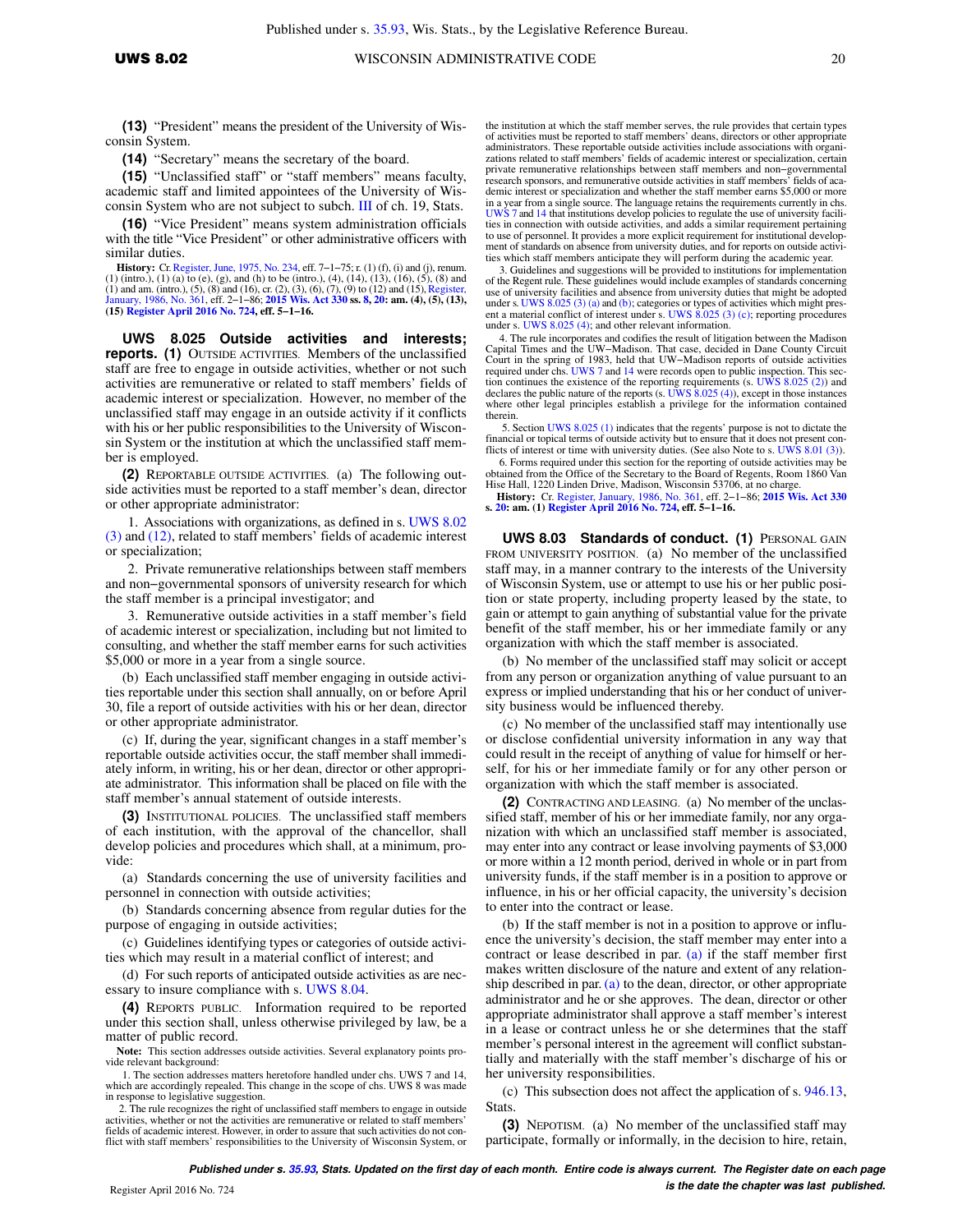**(13)** "President" means the president of the University of Wisconsin System.

**(14)** "Secretary" means the secretary of the board.

**(15)** "Unclassified staff" or "staff members" means faculty, academic staff and limited appointees of the University of Wisconsin System who are not subject to subch. [III of ch. 19,](https://docs.legis.wisconsin.gov/document/statutes/subch.%20III%20of%20ch.%2019) Stats.

**(16)** "Vice President" means system administration officials with the title "Vice President" or other administrative officers with similar duties.

**History:** Cr. [Register, June, 1975, No. 234](https://docs.legis.wisconsin.gov/document/register/234/B/toc), eff. 7-1-75; r. (1) (f), (i) and (j), renum. (1) (intro.), (1) (a) to (e), (g), and (h) to be (intro.), (4), (14), (13), (16), (5), (8) and (1) and am. (intro.), (5), (8) and (16), cr. (2), (3), (6), (7), (9) to (12) and (15),[Register,](https://docs.legis.wisconsin.gov/document/register/361/B/toc) [January, 1986, No. 361,](https://docs.legis.wisconsin.gov/document/register/361/B/toc) eff. 2−1−86; **[2015 Wis. Act 330](https://docs.legis.wisconsin.gov/document/acts/2015/330) ss. [8](https://docs.legis.wisconsin.gov/document/acts/2015/330,%20s.%208), [20](https://docs.legis.wisconsin.gov/document/acts/2015/330,%20s.%2020): am. (4), (5), (13), (15) [Register April 2016 No. 724,](https://docs.legis.wisconsin.gov/document/register/724/B/toc) eff. 5−1−16.**

**UWS 8.025 Outside activities and interests; reports. (1)** OUTSIDE ACTIVITIES. Members of the unclassified staff are free to engage in outside activities, whether or not such activities are remunerative or related to staff members' fields of academic interest or specialization. However, no member of the unclassified staff may engage in an outside activity if it conflicts with his or her public responsibilities to the University of Wisconsin System or the institution at which the unclassified staff member is employed.

**(2)** REPORTABLE OUTSIDE ACTIVITIES. (a) The following outside activities must be reported to a staff member's dean, director or other appropriate administrator:

1. Associations with organizations, as defined in s. [UWS 8.02](https://docs.legis.wisconsin.gov/document/administrativecode/UWS%208.02(3)) [\(3\)](https://docs.legis.wisconsin.gov/document/administrativecode/UWS%208.02(3)) and [\(12\)](https://docs.legis.wisconsin.gov/document/administrativecode/UWS%208.02(12)), related to staff members' fields of academic interest or specialization;

2. Private remunerative relationships between staff members and non−governmental sponsors of university research for which the staff member is a principal investigator; and

3. Remunerative outside activities in a staff member's field of academic interest or specialization, including but not limited to consulting, and whether the staff member earns for such activities \$5,000 or more in a year from a single source.

(b) Each unclassified staff member engaging in outside activities reportable under this section shall annually, on or before April 30, file a report of outside activities with his or her dean, director or other appropriate administrator.

(c) If, during the year, significant changes in a staff member's reportable outside activities occur, the staff member shall immediately inform, in writing, his or her dean, director or other appropriate administrator. This information shall be placed on file with the staff member's annual statement of outside interests.

**(3)** INSTITUTIONAL POLICIES. The unclassified staff members of each institution, with the approval of the chancellor, shall develop policies and procedures which shall, at a minimum, provide:

(a) Standards concerning the use of university facilities and personnel in connection with outside activities;

(b) Standards concerning absence from regular duties for the purpose of engaging in outside activities;

(c) Guidelines identifying types or categories of outside activities which may result in a material conflict of interest; and

(d) For such reports of anticipated outside activities as are necessary to insure compliance with s. [UWS 8.04.](https://docs.legis.wisconsin.gov/document/administrativecode/UWS%208.04)

**(4)** REPORTS PUBLIC. Information required to be reported under this section shall, unless otherwise privileged by law, be a matter of public record.

**Note:** This section addresses outside activities. Several explanatory points provide relevant background:

 1. The section addresses matters heretofore handled under chs. UWS 7 and 14, which are accordingly repealed. This change in the scope of chs. UWS 8 was made in response to legislative suggestion.

 2. The rule recognizes the right of unclassified staff members to engage in outside activities, whether or not the activities are remunerative or related to staff members' fields of academic interest. However, in order to assure that such activities do not conflict with staff members' responsibilities to the University of Wisconsin System, or

the institution at which the staff member serves, the rule provides that certain types of activities must be reported to staff members' deans, directors or other appropriate administrators. These reportable outside activities include associations with organizations related to staff members' fields of academic interest or specialization, certain private remunerative relationships between staff members and non−governmental research sponsors, and remunerative outside activities in staff members' fields of academic interest or specialization and whether the staff member earns \$5,000 or more in a year from a single source. The language retains the requirements currently in chs. [UWS 7](https://docs.legis.wisconsin.gov/document/administrativecode/ch.%20UWS%207) and [14](https://docs.legis.wisconsin.gov/document/administrativecode/ch.%20UWS%2014) that institutions develop policies to regulate the use of university facilities in connection with outside activities, and adds a similar requirement pertaining<br>to use of personnel. It provides a more explicit requirement for institutional develop-<br>ment of standards on absence from university dut ties which staff members anticipate they will perform during the academic year.

 3. Guidelines and suggestions will be provided to institutions for implementation of the Regent rule. These guidelines would include examples of standards concerning use of university facilities and absence from university duties that might be adopted under s. [UWS 8.025 \(3\) \(a\)](https://docs.legis.wisconsin.gov/document/administrativecode/UWS%208.025(3)(a)) and [\(b\);](https://docs.legis.wisconsin.gov/document/administrativecode/UWS%208.025(3)(b)) categories or types of activities which might pres-ent a material conflict of interest under s. [UWS 8.025 \(3\) \(c\)](https://docs.legis.wisconsin.gov/document/administrativecode/UWS%208.025(3)(c)); reporting procedures under s. [UWS 8.025 \(4\)](https://docs.legis.wisconsin.gov/document/administrativecode/UWS%208.025(4)); and other relevant information.

 4. The rule incorporates and codifies the result of litigation between the Madison Capital Times and the UW−Madison. That case, decided in Dane County Circuit Court in the spring of 1983, held that UW−Madison reports of outside activities required under chs. [UWS 7](https://docs.legis.wisconsin.gov/document/administrativecode/ch.%20UWS%207) and [14](https://docs.legis.wisconsin.gov/document/administrativecode/ch.%20UWS%2014) were records open to public inspection. This section continues the existence of the reporting requirements (s. [UWS 8.025 \(2\)\)](https://docs.legis.wisconsin.gov/document/administrativecode/UWS%208.025(2)) and declares the public nature of the reports (s. [UWS 8.025 \(4\)](https://docs.legis.wisconsin.gov/document/administrativecode/UWS%208.025(4)) where other legal principles establish a privilege for the information contained therein.

 5. Section [UWS 8.025 \(1\)](https://docs.legis.wisconsin.gov/document/administrativecode/UWS%208.025(1)) indicates that the regents' purpose is not to dictate the financial or topical terms of outside activity but to ensure that it does not present conflicts of interest or time with university duties. (See also Note to s. [UWS 8.01 \(3\)](https://docs.legis.wisconsin.gov/document/administrativecode/UWS%208.01(3))).

 6. Forms required under this section for the reporting of outside activities may be obtained from the Office of the Secretary to the Board of Regents, Room 1860 Van Hise Hall, 1220 Linden Drive, Madison, Wisconsin 53706, at no charge.

**History:** Cr. [Register, January, 1986, No. 361](https://docs.legis.wisconsin.gov/document/register/361/B/toc), eff. 2−1−86; **[2015 Wis. Act 330](https://docs.legis.wisconsin.gov/document/acts/2015/330) s. [20](https://docs.legis.wisconsin.gov/document/acts/2015/330,%20s.%2020): am. (1) [Register April 2016 No. 724,](https://docs.legis.wisconsin.gov/document/register/724/B/toc) eff. 5−1−16.**

**UWS 8.03 Standards of conduct. (1)** PERSONAL GAIN FROM UNIVERSITY POSITION. (a) No member of the unclassified staff may, in a manner contrary to the interests of the University of Wisconsin System, use or attempt to use his or her public position or state property, including property leased by the state, to gain or attempt to gain anything of substantial value for the private benefit of the staff member, his or her immediate family or any organization with which the staff member is associated.

(b) No member of the unclassified staff may solicit or accept from any person or organization anything of value pursuant to an express or implied understanding that his or her conduct of university business would be influenced thereby.

(c) No member of the unclassified staff may intentionally use or disclose confidential university information in any way that could result in the receipt of anything of value for himself or herself, for his or her immediate family or for any other person or organization with which the staff member is associated.

**(2)** CONTRACTING AND LEASING. (a) No member of the unclassified staff, member of his or her immediate family, nor any organization with which an unclassified staff member is associated, may enter into any contract or lease involving payments of \$3,000 or more within a 12 month period, derived in whole or in part from university funds, if the staff member is in a position to approve or influence, in his or her official capacity, the university's decision to enter into the contract or lease.

(b) If the staff member is not in a position to approve or influence the university's decision, the staff member may enter into a contract or lease described in par. [\(a\)](https://docs.legis.wisconsin.gov/document/administrativecode/UWS%208.03(2)(a)) if the staff member first makes written disclosure of the nature and extent of any relationship described in par. [\(a\)](https://docs.legis.wisconsin.gov/document/administrativecode/UWS%208.03(2)(a)) to the dean, director, or other appropriate administrator and he or she approves. The dean, director or other appropriate administrator shall approve a staff member's interest in a lease or contract unless he or she determines that the staff member's personal interest in the agreement will conflict substantially and materially with the staff member's discharge of his or her university responsibilities.

(c) This subsection does not affect the application of s. [946.13,](https://docs.legis.wisconsin.gov/document/statutes/946.13) **Stats**.

**(3)** NEPOTISM. (a) No member of the unclassified staff may participate, formally or informally, in the decision to hire, retain,

**Published under s. [35.93,](https://docs.legis.wisconsin.gov/document/statutes/35.93) Stats. Updated on the first day of each month. Entire code is always current. The Register date on each page is the date the chapter was last published.** Register April 2016 No. 724